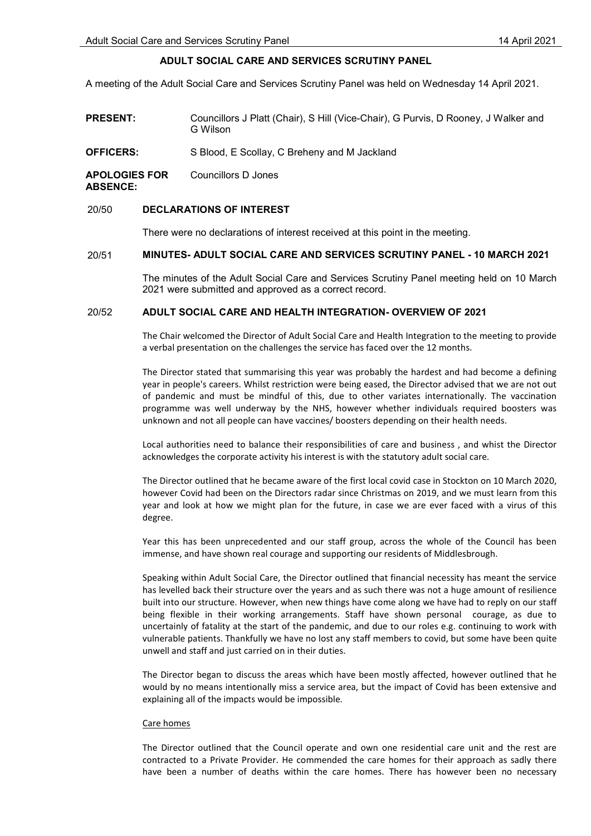# ADULT SOCIAL CARE AND SERVICES SCRUTINY PANEL

A meeting of the Adult Social Care and Services Scrutiny Panel was held on Wednesday 14 April 2021.

| <b>PRESENT:</b>                          | Councillors J Platt (Chair), S Hill (Vice-Chair), G Purvis, D Rooney, J Walker and<br>G Wilson |
|------------------------------------------|------------------------------------------------------------------------------------------------|
| <b>OFFICERS:</b>                         | S Blood, E Scollay, C Breheny and M Jackland                                                   |
| <b>APOLOGIES FOR</b><br><b>ARSFNCF</b> ' | Councillors D Jones                                                                            |

### 20/50 DECLARATIONS OF INTEREST

There were no declarations of interest received at this point in the meeting.

## 20/51 MINUTES- ADULT SOCIAL CARE AND SERVICES SCRUTINY PANEL - 10 MARCH 2021

 The minutes of the Adult Social Care and Services Scrutiny Panel meeting held on 10 March 2021 were submitted and approved as a correct record.

## 20/52 ADULT SOCIAL CARE AND HEALTH INTEGRATION- OVERVIEW OF 2021

The Chair welcomed the Director of Adult Social Care and Health Integration to the meeting to provide a verbal presentation on the challenges the service has faced over the 12 months.

The Director stated that summarising this year was probably the hardest and had become a defining year in people's careers. Whilst restriction were being eased, the Director advised that we are not out of pandemic and must be mindful of this, due to other variates internationally. The vaccination programme was well underway by the NHS, however whether individuals required boosters was unknown and not all people can have vaccines/ boosters depending on their health needs.

Local authorities need to balance their responsibilities of care and business , and whist the Director acknowledges the corporate activity his interest is with the statutory adult social care.

The Director outlined that he became aware of the first local covid case in Stockton on 10 March 2020, however Covid had been on the Directors radar since Christmas on 2019, and we must learn from this year and look at how we might plan for the future, in case we are ever faced with a virus of this degree.

Year this has been unprecedented and our staff group, across the whole of the Council has been immense, and have shown real courage and supporting our residents of Middlesbrough.

Speaking within Adult Social Care, the Director outlined that financial necessity has meant the service has levelled back their structure over the years and as such there was not a huge amount of resilience built into our structure. However, when new things have come along we have had to reply on our staff being flexible in their working arrangements. Staff have shown personal courage, as due to uncertainly of fatality at the start of the pandemic, and due to our roles e.g. continuing to work with vulnerable patients. Thankfully we have no lost any staff members to covid, but some have been quite unwell and staff and just carried on in their duties.

The Director began to discuss the areas which have been mostly affected, however outlined that he would by no means intentionally miss a service area, but the impact of Covid has been extensive and explaining all of the impacts would be impossible.

### Care homes

The Director outlined that the Council operate and own one residential care unit and the rest are contracted to a Private Provider. He commended the care homes for their approach as sadly there have been a number of deaths within the care homes. There has however been no necessary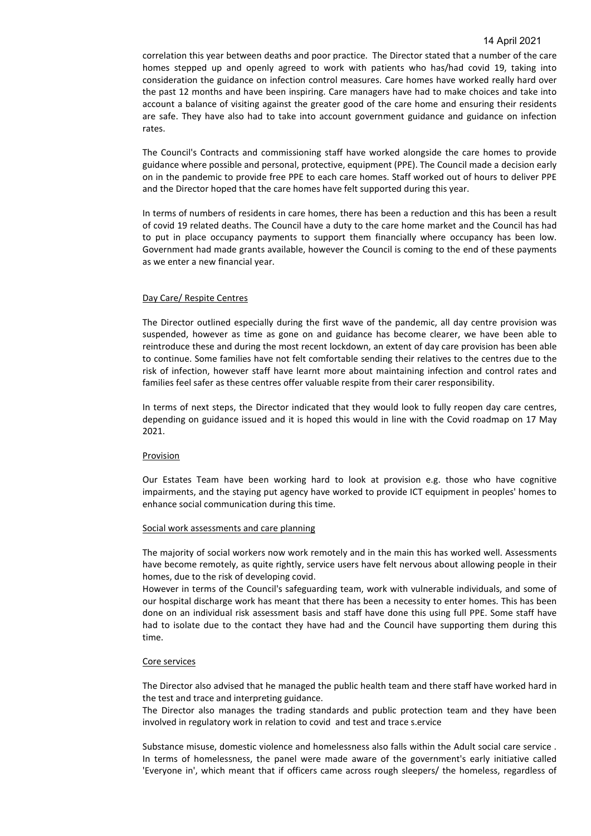correlation this year between deaths and poor practice. The Director stated that a number of the care homes stepped up and openly agreed to work with patients who has/had covid 19, taking into consideration the guidance on infection control measures. Care homes have worked really hard over the past 12 months and have been inspiring. Care managers have had to make choices and take into account a balance of visiting against the greater good of the care home and ensuring their residents are safe. They have also had to take into account government guidance and guidance on infection rates.

The Council's Contracts and commissioning staff have worked alongside the care homes to provide guidance where possible and personal, protective, equipment (PPE). The Council made a decision early on in the pandemic to provide free PPE to each care homes. Staff worked out of hours to deliver PPE and the Director hoped that the care homes have felt supported during this year.

In terms of numbers of residents in care homes, there has been a reduction and this has been a result of covid 19 related deaths. The Council have a duty to the care home market and the Council has had to put in place occupancy payments to support them financially where occupancy has been low. Government had made grants available, however the Council is coming to the end of these payments as we enter a new financial year.

### Day Care/ Respite Centres

The Director outlined especially during the first wave of the pandemic, all day centre provision was suspended, however as time as gone on and guidance has become clearer, we have been able to reintroduce these and during the most recent lockdown, an extent of day care provision has been able to continue. Some families have not felt comfortable sending their relatives to the centres due to the risk of infection, however staff have learnt more about maintaining infection and control rates and families feel safer as these centres offer valuable respite from their carer responsibility.

In terms of next steps, the Director indicated that they would look to fully reopen day care centres, depending on guidance issued and it is hoped this would in line with the Covid roadmap on 17 May 2021.

#### **Provision**

Our Estates Team have been working hard to look at provision e.g. those who have cognitive impairments, and the staying put agency have worked to provide ICT equipment in peoples' homes to enhance social communication during this time.

#### Social work assessments and care planning

The majority of social workers now work remotely and in the main this has worked well. Assessments have become remotely, as quite rightly, service users have felt nervous about allowing people in their homes, due to the risk of developing covid.

However in terms of the Council's safeguarding team, work with vulnerable individuals, and some of our hospital discharge work has meant that there has been a necessity to enter homes. This has been done on an individual risk assessment basis and staff have done this using full PPE. Some staff have had to isolate due to the contact they have had and the Council have supporting them during this time.

#### Core services

The Director also advised that he managed the public health team and there staff have worked hard in the test and trace and interpreting guidance.

The Director also manages the trading standards and public protection team and they have been involved in regulatory work in relation to covid and test and trace s.ervice

Substance misuse, domestic violence and homelessness also falls within the Adult social care service . In terms of homelessness, the panel were made aware of the government's early initiative called 'Everyone in', which meant that if officers came across rough sleepers/ the homeless, regardless of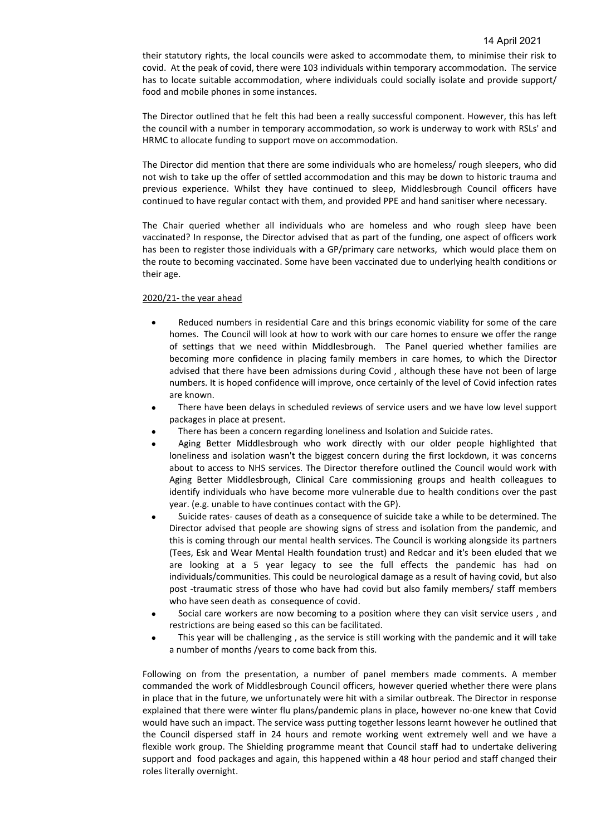their statutory rights, the local councils were asked to accommodate them, to minimise their risk to covid. At the peak of covid, there were 103 individuals within temporary accommodation. The service has to locate suitable accommodation, where individuals could socially isolate and provide support/ food and mobile phones in some instances.

The Director outlined that he felt this had been a really successful component. However, this has left the council with a number in temporary accommodation, so work is underway to work with RSLs' and HRMC to allocate funding to support move on accommodation.

The Director did mention that there are some individuals who are homeless/ rough sleepers, who did not wish to take up the offer of settled accommodation and this may be down to historic trauma and previous experience. Whilst they have continued to sleep, Middlesbrough Council officers have continued to have regular contact with them, and provided PPE and hand sanitiser where necessary.

The Chair queried whether all individuals who are homeless and who rough sleep have been vaccinated? In response, the Director advised that as part of the funding, one aspect of officers work has been to register those individuals with a GP/primary care networks, which would place them on the route to becoming vaccinated. Some have been vaccinated due to underlying health conditions or their age.

### 2020/21- the year ahead

- Reduced numbers in residential Care and this brings economic viability for some of the care homes. The Council will look at how to work with our care homes to ensure we offer the range of settings that we need within Middlesbrough. The Panel queried whether families are becoming more confidence in placing family members in care homes, to which the Director advised that there have been admissions during Covid , although these have not been of large numbers. It is hoped confidence will improve, once certainly of the level of Covid infection rates are known.
- There have been delays in scheduled reviews of service users and we have low level support packages in place at present.
- There has been a concern regarding loneliness and Isolation and Suicide rates.
- Aging Better Middlesbrough who work directly with our older people highlighted that loneliness and isolation wasn't the biggest concern during the first lockdown, it was concerns about to access to NHS services. The Director therefore outlined the Council would work with Aging Better Middlesbrough, Clinical Care commissioning groups and health colleagues to identify individuals who have become more vulnerable due to health conditions over the past year. (e.g. unable to have continues contact with the GP).
- Suicide rates- causes of death as a consequence of suicide take a while to be determined. The Director advised that people are showing signs of stress and isolation from the pandemic, and this is coming through our mental health services. The Council is working alongside its partners (Tees, Esk and Wear Mental Health foundation trust) and Redcar and it's been eluded that we are looking at a 5 year legacy to see the full effects the pandemic has had on individuals/communities. This could be neurological damage as a result of having covid, but also post -traumatic stress of those who have had covid but also family members/ staff members who have seen death as consequence of covid.
- Social care workers are now becoming to a position where they can visit service users , and restrictions are being eased so this can be facilitated.
- This year will be challenging , as the service is still working with the pandemic and it will take a number of months /years to come back from this.

Following on from the presentation, a number of panel members made comments. A member commanded the work of Middlesbrough Council officers, however queried whether there were plans in place that in the future, we unfortunately were hit with a similar outbreak. The Director in response explained that there were winter flu plans/pandemic plans in place, however no-one knew that Covid would have such an impact. The service wass putting together lessons learnt however he outlined that the Council dispersed staff in 24 hours and remote working went extremely well and we have a flexible work group. The Shielding programme meant that Council staff had to undertake delivering support and food packages and again, this happened within a 48 hour period and staff changed their roles literally overnight.